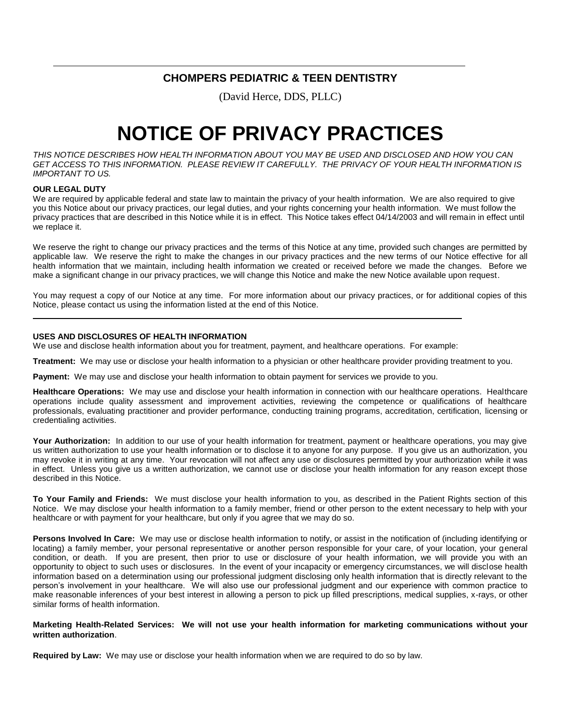## **CHOMPERS PEDIATRIC & TEEN DENTISTRY**

(David Herce, DDS, PLLC)

# **NOTICE OF PRIVACY PRACTICES**

*THIS NOTICE DESCRIBES HOW HEALTH INFORMATION ABOUT YOU MAY BE USED AND DISCLOSED AND HOW YOU CAN GET ACCESS TO THIS INFORMATION. PLEASE REVIEW IT CAREFULLY. THE PRIVACY OF YOUR HEALTH INFORMATION IS IMPORTANT TO US.*

#### **OUR LEGAL DUTY**

We are required by applicable federal and state law to maintain the privacy of your health information. We are also required to give you this Notice about our privacy practices, our legal duties, and your rights concerning your health information. We must follow the privacy practices that are described in this Notice while it is in effect. This Notice takes effect 04/14/2003 and will remain in effect until we replace it.

We reserve the right to change our privacy practices and the terms of this Notice at any time, provided such changes are permitted by applicable law. We reserve the right to make the changes in our privacy practices and the new terms of our Notice effective for all health information that we maintain, including health information we created or received before we made the changes. Before we make a significant change in our privacy practices, we will change this Notice and make the new Notice available upon request.

You may request a copy of our Notice at any time. For more information about our privacy practices, or for additional copies of this Notice, please contact us using the information listed at the end of this Notice.

#### **USES AND DISCLOSURES OF HEALTH INFORMATION**

We use and disclose health information about you for treatment, payment, and healthcare operations. For example:

**Treatment:** We may use or disclose your health information to a physician or other healthcare provider providing treatment to you.

**Payment:** We may use and disclose your health information to obtain payment for services we provide to you.

**Healthcare Operations:** We may use and disclose your health information in connection with our healthcare operations. Healthcare operations include quality assessment and improvement activities, reviewing the competence or qualifications of healthcare professionals, evaluating practitioner and provider performance, conducting training programs, accreditation, certification, licensing or credentialing activities.

**Your Authorization:** In addition to our use of your health information for treatment, payment or healthcare operations, you may give us written authorization to use your health information or to disclose it to anyone for any purpose. If you give us an authorization, you may revoke it in writing at any time. Your revocation will not affect any use or disclosures permitted by your authorization while it was in effect. Unless you give us a written authorization, we cannot use or disclose your health information for any reason except those described in this Notice.

**To Your Family and Friends:** We must disclose your health information to you, as described in the Patient Rights section of this Notice. We may disclose your health information to a family member, friend or other person to the extent necessary to help with your healthcare or with payment for your healthcare, but only if you agree that we may do so.

**Persons Involved In Care:** We may use or disclose health information to notify, or assist in the notification of (including identifying or locating) a family member, your personal representative or another person responsible for your care, of your location, your general condition, or death. If you are present, then prior to use or disclosure of your health information, we will provide you with an opportunity to object to such uses or disclosures. In the event of your incapacity or emergency circumstances, we will disclose health information based on a determination using our professional judgment disclosing only health information that is directly relevant to the person's involvement in your healthcare. We will also use our professional judgment and our experience with common practice to make reasonable inferences of your best interest in allowing a person to pick up filled prescriptions, medical supplies, x-rays, or other similar forms of health information.

### **Marketing Health-Related Services: We will not use your health information for marketing communications without your written authorization**.

**Required by Law:** We may use or disclose your health information when we are required to do so by law.